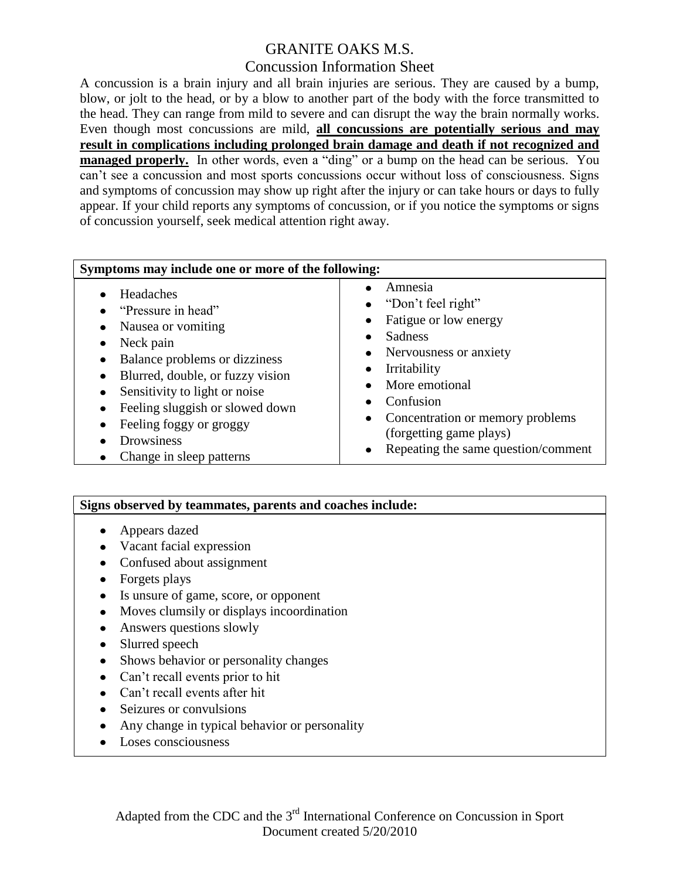# GRANITE OAKS M.S.

### Concussion Information Sheet

A concussion is a brain injury and all brain injuries are serious. They are caused by a bump, blow, or jolt to the head, or by a blow to another part of the body with the force transmitted to the head. They can range from mild to severe and can disrupt the way the brain normally works. Even though most concussions are mild, **all concussions are potentially serious and may result in complications including prolonged brain damage and death if not recognized and managed properly.** In other words, even a "ding" or a bump on the head can be serious. You can't see a concussion and most sports concussions occur without loss of consciousness. Signs and symptoms of concussion may show up right after the injury or can take hours or days to fully appear. If your child reports any symptoms of concussion, or if you notice the symptoms or signs of concussion yourself, seek medical attention right away.

| Symptoms may include one or more of the following:                                                                                                                                                                                                                                    |                                                                                                                                                                                                                                                                                                                          |
|---------------------------------------------------------------------------------------------------------------------------------------------------------------------------------------------------------------------------------------------------------------------------------------|--------------------------------------------------------------------------------------------------------------------------------------------------------------------------------------------------------------------------------------------------------------------------------------------------------------------------|
| Headaches<br>"Pressure in head"<br>Nausea or vomiting<br>Neck pain<br>Balance problems or dizziness<br>Blurred, double, or fuzzy vision<br>٠<br>Sensitivity to light or noise<br>Feeling sluggish or slowed down<br>Feeling foggy or groggy<br>Drowsiness<br>Change in sleep patterns | Amnesia<br>• "Don't feel right"<br>Fatigue or low energy<br>$\bullet$<br>Sadness<br>$\bullet$<br>Nervousness or anxiety<br>$\bullet$<br>Irritability<br>$\bullet$<br>More emotional<br>Confusion<br>Concentration or memory problems<br>$\bullet$<br>(forgetting game plays)<br>Repeating the same question/comment<br>٠ |

#### **Signs observed by teammates, parents and coaches include:**

- Appears dazed
- Vacant facial expression
- Confused about assignment
- Forgets plays
- Is unsure of game, score, or opponent
- Moves clumsily or displays incoordination
- Answers questions slowly
- Slurred speech
- Shows behavior or personality changes
- Can't recall events prior to hit
- Can't recall events after hit
- Seizures or convulsions
- Any change in typical behavior or personality  $\bullet$
- Loses consciousness